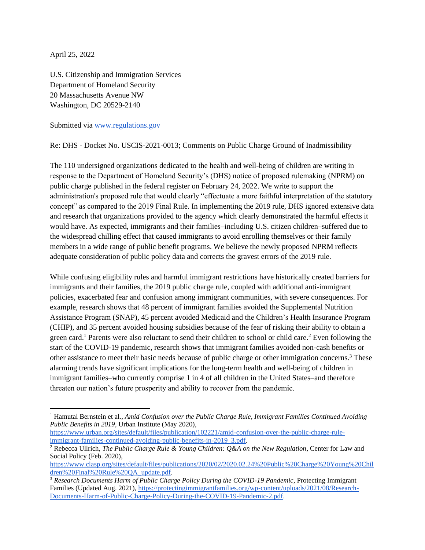April 25, 2022

U.S. Citizenship and Immigration Services Department of Homeland Security 20 Massachusetts Avenue NW Washington, DC 20529-2140

Submitted via [www.regulations.gov](http://www.regulations.gov/)

Re: DHS - Docket No. USCIS-2021-0013; Comments on Public Charge Ground of Inadmissibility

The 110 undersigned organizations dedicated to the health and well-being of children are writing in response to the Department of Homeland Security's (DHS) notice of proposed rulemaking (NPRM) on public charge published in the federal register on February 24, 2022. We write to support the administration's proposed rule that would clearly "effectuate a more faithful interpretation of the statutory concept" as compared to the 2019 Final Rule. In implementing the 2019 rule, DHS ignored extensive data and research that organizations provided to the agency which clearly demonstrated the harmful effects it would have. As expected, immigrants and their families–including U.S. citizen children–suffered due to the widespread chilling effect that caused immigrants to avoid enrolling themselves or their family members in a wide range of public benefit programs. We believe the newly proposed NPRM reflects adequate consideration of public policy data and corrects the gravest errors of the 2019 rule.

While confusing eligibility rules and harmful immigrant restrictions have historically created barriers for immigrants and their families, the 2019 public charge rule, coupled with additional anti-immigrant policies, exacerbated fear and confusion among immigrant communities, with severe consequences. For example, research shows that 48 percent of immigrant families avoided the Supplemental Nutrition Assistance Program (SNAP), 45 percent avoided Medicaid and the Children's Health Insurance Program (CHIP), and 35 percent avoided housing subsidies because of the fear of risking their ability to obtain a green card.<sup>1</sup> Parents were also reluctant to send their children to school or child care.<sup>2</sup> Even following the start of the COVID-19 pandemic, research shows that immigrant families avoided non-cash benefits or other assistance to meet their basic needs because of public charge or other immigration concerns.<sup>3</sup> These alarming trends have significant implications for the long-term health and well-being of children in immigrant families–who currently comprise 1 in 4 of all children in the United States–and therefore threaten our nation's future prosperity and ability to recover from the pandemic.

<sup>1</sup> Hamutal Bernstein et al*., Amid Confusion over the Public Charge Rule, Immigrant Families Continued Avoiding Public Benefits in 2019*, Urban Institute (May 2020),

[https://www.urban.org/sites/default/files/publication/102221/amid-confusion-over-the-public-charge-rule](https://www.urban.org/sites/default/files/publication/102221/amid-confusion-over-the-public-charge-rule-immigrant-families-continued-avoiding-public-benefits-in-2019_3.pdf)[immigrant-families-continued-avoiding-public-benefits-in-2019\\_3.pdf.](https://www.urban.org/sites/default/files/publication/102221/amid-confusion-over-the-public-charge-rule-immigrant-families-continued-avoiding-public-benefits-in-2019_3.pdf)

<sup>2</sup> Rebecca Ullrich, *The Public Charge Rule & Young Children: Q&A on the New Regulation*, Center for Law and Social Policy (Feb. 2020),

[https://www.clasp.org/sites/default/files/publications/2020/02/2020.02.24%20Public%20Charge%20Young%20Chil](https://www.clasp.org/sites/default/files/publications/2020/02/2020.02.24%20Public%20Charge%20Young%20Children%20Final%20Rule%20QA_update.pdf) [dren%20Final%20Rule%20QA\\_update.pdf.](https://www.clasp.org/sites/default/files/publications/2020/02/2020.02.24%20Public%20Charge%20Young%20Children%20Final%20Rule%20QA_update.pdf)

<sup>3</sup> *Research Documents Harm of Public Charge Policy During the COVID-19 Pandemic*, Protecting Immigrant Families (Updated Aug. 2021), [https://protectingimmigrantfamilies.org/wp-content/uploads/2021/08/Research-](https://protectingimmigrantfamilies.org/wp-content/uploads/2021/08/Research-Documents-Harm-of-Public-Charge-Policy-During-the-COVID-19-Pandemic-2.pdf)[Documents-Harm-of-Public-Charge-Policy-During-the-COVID-19-Pandemic-2.pdf.](https://protectingimmigrantfamilies.org/wp-content/uploads/2021/08/Research-Documents-Harm-of-Public-Charge-Policy-During-the-COVID-19-Pandemic-2.pdf)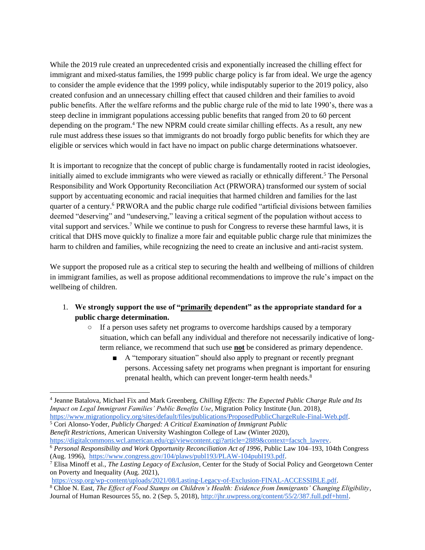While the 2019 rule created an unprecedented crisis and exponentially increased the chilling effect for immigrant and mixed-status families, the 1999 public charge policy is far from ideal. We urge the agency to consider the ample evidence that the 1999 policy, while indisputably superior to the 2019 policy, also created confusion and an unnecessary chilling effect that caused children and their families to avoid public benefits. After the welfare reforms and the public charge rule of the mid to late 1990's, there was a steep decline in immigrant populations accessing public benefits that ranged from 20 to 60 percent depending on the program.<sup>4</sup> The new NPRM could create similar chilling effects. As a result, any new rule must address these issues so that immigrants do not broadly forgo public benefits for which they are eligible or services which would in fact have no impact on public charge determinations whatsoever.

It is important to recognize that the concept of public charge is fundamentally rooted in racist ideologies, initially aimed to exclude immigrants who were viewed as racially or ethnically different.<sup>5</sup> The Personal Responsibility and Work Opportunity Reconciliation Act (PRWORA) transformed our system of social support by accentuating economic and racial inequities that harmed children and families for the last quarter of a century.<sup>6</sup> PRWORA and the public charge rule codified "artificial divisions between families deemed "deserving" and "undeserving," leaving a critical segment of the population without access to vital support and services.<sup>7</sup> While we continue to push for Congress to reverse these harmful laws, it is critical that DHS move quickly to finalize a more fair and equitable public charge rule that minimizes the harm to children and families, while recognizing the need to create an inclusive and anti-racist system.

We support the proposed rule as a critical step to securing the health and wellbeing of millions of children in immigrant families, as well as propose additional recommendations to improve the rule's impact on the wellbeing of children.

## 1. **We strongly support the use of "primarily dependent" as the appropriate standard for a public charge determination.**

- If a person uses safety net programs to overcome hardships caused by a temporary situation, which can befall any individual and therefore not necessarily indicative of longterm reliance, we recommend that such use **not** be considered as primary dependence.
	- A "temporary situation" should also apply to pregnant or recently pregnant persons. Accessing safety net programs when pregnant is important for ensuring prenatal health, which can prevent longer-term health needs.<sup>8</sup>

<sup>5</sup> Cori Alonso-Yoder, *Publicly Charged: A Critical Examination of Immigrant Public Benefit Restrictions*, American University Washington College of Law (Winter 2020), [https://digitalcommons.wcl.american.edu/cgi/viewcontent.cgi?article=2889&context=facsch\\_lawrev.](https://digitalcommons.wcl.american.edu/cgi/viewcontent.cgi?article=2889&context=facsch_lawrev)

<sup>4</sup> Jeanne Batalova, Michael Fix and Mark Greenberg, *Chilling Effects: The Expected Public Charge Rule and Its Impact on Legal Immigrant Families' Public Benefits Use*, Migration Policy Institute (Jun. 2018), [https://www.migrationpolicy.org/sites/default/files/publications/ProposedPublicChargeRule-Final-Web.pdf.](https://www.migrationpolicy.org/sites/default/files/publications/ProposedPublicChargeRule-Final-Web.pdf)

<sup>6</sup> *Personal Responsibility and Work Opportunity Reconciliation Act of 1996*, Public Law 104–193, 104th Congress (Aug. 1996), [https://www.congress.gov/104/plaws/publ193/PLAW-104publ193.pdf.](https://www.congress.gov/104/plaws/publ193/PLAW-104publ193.pdf)

<sup>7</sup> Elisa Minoff et al., *The Lasting Legacy of Exclusion*, Center for the Study of Social Policy and Georgetown Center on Poverty and Inequality (Aug. 2021),

[https://cssp.org/wp-content/uploads/2021/08/Lasting-Legacy-of-Exclusion-FINAL-ACCESSIBLE.pdf.](https://cssp.org/wp-content/uploads/2021/08/Lasting-Legacy-of-Exclusion-FINAL-ACCESSIBLE.pdf)

<sup>8</sup> Chloe N. East, *The Effect of Food Stamps on Children's Health: Evidence from Immigrants' Changing Eligibility*, Journal of Human Resources 55, no. 2 (Sep. 5, 2018), [http://jhr.uwpress.org/content/55/2/387.full.pdf+html.](http://jhr.uwpress.org/content/55/2/387.full.pdf+html)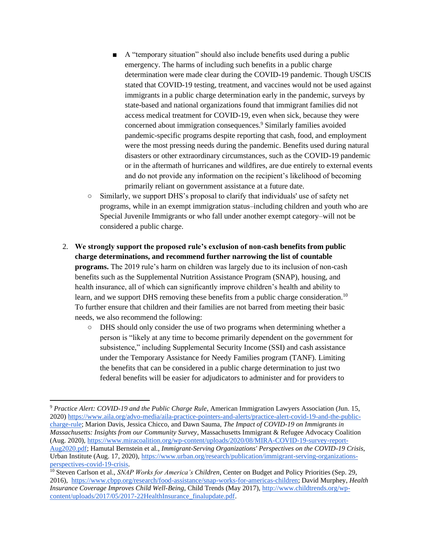- A "temporary situation" should also include benefits used during a public emergency. The harms of including such benefits in a public charge determination were made clear during the COVID-19 pandemic. Though USCIS stated that COVID-19 testing, treatment, and vaccines would not be used against immigrants in a public charge determination early in the pandemic, surveys by state-based and national organizations found that immigrant families did not access medical treatment for COVID-19, even when sick, because they were concerned about immigration consequences.<sup>9</sup> Similarly families avoided pandemic-specific programs despite reporting that cash, food, and employment were the most pressing needs during the pandemic. Benefits used during natural disasters or other extraordinary circumstances, such as the COVID-19 pandemic or in the aftermath of hurricanes and wildfires, are due entirely to external events and do not provide any information on the recipient's likelihood of becoming primarily reliant on government assistance at a future date.
- $\circ$  Similarly, we support DHS's proposal to clarify that individuals' use of safety net programs, while in an exempt immigration status–including children and youth who are Special Juvenile Immigrants or who fall under another exempt category–will not be considered a public charge.
- 2. **We strongly support the proposed rule's exclusion of non-cash benefits from public charge determinations, and recommend further narrowing the list of countable programs.** The 2019 rule's harm on children was largely due to its inclusion of non-cash benefits such as the Supplemental Nutrition Assistance Program (SNAP), housing, and health insurance, all of which can significantly improve children's health and ability to learn, and we support DHS removing these benefits from a public charge consideration.<sup>10</sup> To further ensure that children and their families are not barred from meeting their basic needs, we also recommend the following:
	- DHS should only consider the use of two programs when determining whether a person is "likely at any time to become primarily dependent on the government for subsistence," including Supplemental Security Income (SSI) and cash assistance under the Temporary Assistance for Needy Families program (TANF). Limiting the benefits that can be considered in a public charge determination to just two federal benefits will be easier for adjudicators to administer and for providers to

<sup>9</sup> *Practice Alert: COVID-19 and the Public Charge Rule*, American Immigration Lawyers Association (Jun. 15, 2020) [https://www.aila.org/advo-media/aila-practice-pointers-and-alerts/practice-alert-covid-19-and-the-public](https://www.aila.org/advo-media/aila-practice-pointers-and-alerts/practice-alert-covid-19-and-the-public-charge-rule)[charge-rule;](https://www.aila.org/advo-media/aila-practice-pointers-and-alerts/practice-alert-covid-19-and-the-public-charge-rule) Marion Davis, Jessica Chicco, and Dawn Sauma, *The Impact of COVID-19 on Immigrants in Massachusetts: Insights from our Community Survey*, Massachusetts Immigrant & Refugee Advocacy Coalition (Aug. 2020), [https://www.miracoalition.org/wp-content/uploads/2020/08/MIRA-COVID-19-survey-report-](https://www.miracoalition.org/wp-content/uploads/2020/08/MIRA-COVID-19-survey-report-Aug2020.pdf)[Aug2020.pdf;](https://www.miracoalition.org/wp-content/uploads/2020/08/MIRA-COVID-19-survey-report-Aug2020.pdf) Hamutal Bernstein et al., *Immigrant-Serving Organizations' Perspectives on the COVID-19 Crisis*, Urban Institute (Aug. 17, 2020)[, https://www.urban.org/research/publication/immigrant-serving-organizations](https://www.urban.org/research/publication/immigrant-serving-organizations-perspectives-covid-19-crisis)[perspectives-covid-19-crisis.](https://www.urban.org/research/publication/immigrant-serving-organizations-perspectives-covid-19-crisis)

<sup>10</sup> Steven Carlson et al., *SNAP Works for America's Children*, Center on Budget and Policy Priorities (Sep. 29, 2016), [https://www.cbpp.org/research/food-assistance/snap-works-for-americas-children;](https://www.cbpp.org/research/food-assistance/snap-works-for-americas-children) David Murphey, *Health Insurance Coverage Improves Child Well-Being*, Child Trends (May 2017), [http://www.childtrends.org/wp](http://www.childtrends.org/wp-content/uploads/2017/05/2017-22HealthInsurance_finalupdate.pdf)[content/uploads/2017/05/2017-22HealthInsurance\\_finalupdate.pdf.](http://www.childtrends.org/wp-content/uploads/2017/05/2017-22HealthInsurance_finalupdate.pdf)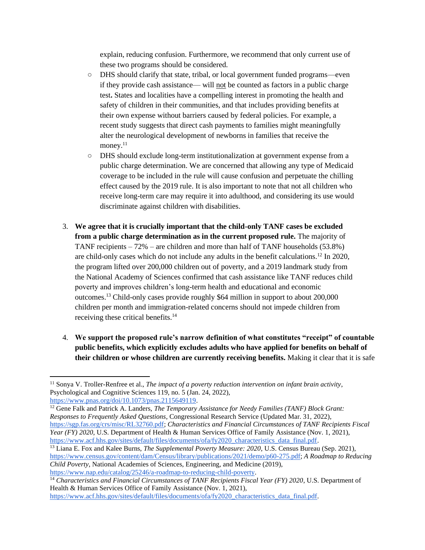explain, reducing confusion. Furthermore, we recommend that only current use of these two programs should be considered.

- DHS should clarify that state, tribal, or local government funded programs—even if they provide cash assistance— will not be counted as factors in a public charge test**.** States and localities have a compelling interest in promoting the health and safety of children in their communities, and that includes providing benefits at their own expense without barriers caused by federal policies. For example, a recent study suggests that direct cash payments to families might meaningfully alter the neurological development of newborns in families that receive the money. $11$
- DHS should exclude long-term institutionalization at government expense from a public charge determination. We are concerned that allowing any type of Medicaid coverage to be included in the rule will cause confusion and perpetuate the chilling effect caused by the 2019 rule. It is also important to note that not all children who receive long-term care may require it into adulthood, and considering its use would discriminate against children with disabilities.
- 3. **We agree that it is crucially important that the child-only TANF cases be excluded from a public charge determination as in the current proposed rule.** The majority of TANF recipients – 72% – are children and more than half of TANF households (53.8%) are child-only cases which do not include any adults in the benefit calculations.<sup>12</sup> In 2020, the program lifted over 200,000 children out of poverty, and a 2019 landmark study from the National Academy of Sciences confirmed that cash assistance like TANF reduces child poverty and improves children's long-term health and educational and economic outcomes.<sup>13</sup> Child-only cases provide roughly \$64 million in support to about 200,000 children per month and immigration-related concerns should not impede children from receiving these critical benefits.<sup>14</sup>
- 4. **We support the proposed rule's narrow definition of what constitutes "receipt" of countable public benefits, which explicitly excludes adults who have applied for benefits on behalf of their children or whose children are currently receiving benefits.** Making it clear that it is safe

<sup>11</sup> Sonya V. Troller-Renfree et al., *The impact of a poverty reduction intervention on infant brain activity*, Psychological and Cognitive Sciences 119, no. 5 (Jan. 24, 2022),

[https://www.pnas.org/doi/10.1073/pnas.2115649119.](https://www.pnas.org/doi/10.1073/pnas.2115649119)

<sup>12</sup> Gene Falk and Patrick A. Landers, *The Temporary Assistance for Needy Families (TANF) Block Grant: Responses to Frequently Asked Questions*, Congressional Research Service (Updated Mar. 31, 2022), [https://sgp.fas.org/crs/misc/RL32760.pdf;](https://sgp.fas.org/crs/misc/RL32760.pdf) *Characteristics and Financial Circumstances of TANF Recipients Fiscal Year (FY) 2020*, U.S. Department of Health & Human Services Office of Family Assistance (Nov. 1, 2021), [https://www.acf.hhs.gov/sites/default/files/documents/ofa/fy2020\\_characteristics\\_data\\_final.pdf.](https://www.acf.hhs.gov/sites/default/files/documents/ofa/fy2020_characteristics_data_final.pdf)

<sup>13</sup> Liana E. Fox and Kalee Burns, *The Supplemental Poverty Measure: 2020*, U.S. Census Bureau (Sep. 2021), [https://www.census.gov/content/dam/Census/library/publications/2021/demo/p60-275.pdf;](https://www.census.gov/content/dam/Census/library/publications/2021/demo/p60-275.pdf) *A Roadmap to Reducing Child Poverty*, National Academies of Sciences, Engineering, and Medicine (2019), [https://www.nap.edu/catalog/25246/a-roadmap-to-reducing-child-poverty.](https://www.nap.edu/catalog/25246/a-roadmap-to-reducing-child-poverty)

<sup>14</sup> *Characteristics and Financial Circumstances of TANF Recipients Fiscal Year (FY) 2020*, U.S. Department of Health & Human Services Office of Family Assistance (Nov. 1, 2021), [https://www.acf.hhs.gov/sites/default/files/documents/ofa/fy2020\\_characteristics\\_data\\_final.pdf.](https://www.acf.hhs.gov/sites/default/files/documents/ofa/fy2020_characteristics_data_final.pdf)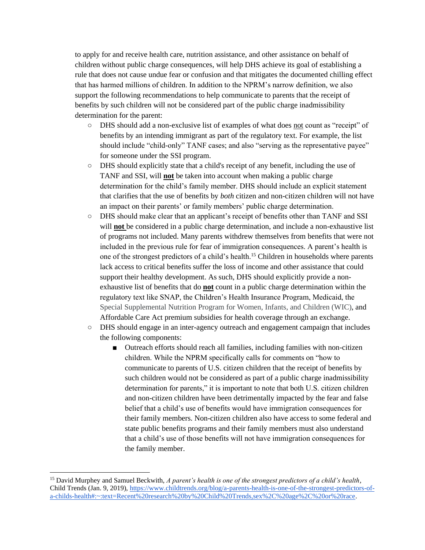to apply for and receive health care, nutrition assistance, and other assistance on behalf of children without public charge consequences, will help DHS achieve its goal of establishing a rule that does not cause undue fear or confusion and that mitigates the documented chilling effect that has harmed millions of children. In addition to the NPRM's narrow definition, we also support the following recommendations to help communicate to parents that the receipt of benefits by such children will not be considered part of the public charge inadmissibility determination for the parent:

- DHS should add a non-exclusive list of examples of what does not count as "receipt" of benefits by an intending immigrant as part of the regulatory text. For example, the list should include "child-only" TANF cases; and also "serving as the representative payee" for someone under the SSI program.
- DHS should explicitly state that a child's receipt of any benefit, including the use of TANF and SSI, will **not** be taken into account when making a public charge determination for the child's family member. DHS should include an explicit statement that clarifies that the use of benefits by *both* citizen and non-citizen children will not have an impact on their parents' or family members' public charge determination.
- DHS should make clear that an applicant's receipt of benefits other than TANF and SSI will **not** be considered in a public charge determination, and include a non-exhaustive list of programs not included. Many parents withdrew themselves from benefits that were not included in the previous rule for fear of immigration consequences. A parent's health is one of the strongest predictors of a child's health.<sup>15</sup> Children in households where parents lack access to critical benefits suffer the loss of income and other assistance that could support their healthy development. As such, DHS should explicitly provide a nonexhaustive list of benefits that do **not** count in a public charge determination within the regulatory text like SNAP, the Children's Health Insurance Program, Medicaid, the Special Supplemental Nutrition Program for Women, Infants, and Children (WIC), and Affordable Care Act premium subsidies for health coverage through an exchange.
- DHS should engage in an inter-agency outreach and engagement campaign that includes the following components:
	- Outreach efforts should reach all families, including families with non-citizen children. While the NPRM specifically calls for comments on "how to communicate to parents of U.S. citizen children that the receipt of benefits by such children would not be considered as part of a public charge inadmissibility determination for parents," it is important to note that both U.S. citizen children and non-citizen children have been detrimentally impacted by the fear and false belief that a child's use of benefits would have immigration consequences for their family members. Non-citizen children also have access to some federal and state public benefits programs and their family members must also understand that a child's use of those benefits will not have immigration consequences for the family member.

<sup>15</sup> David Murphey and Samuel Beckwith, *A parent's health is one of the strongest predictors of a child's health*, Child Trends (Jan. 9, 2019), [https://www.childtrends.org/blog/a-parents-health-is-one-of-the-strongest-predictors-of](https://www.childtrends.org/blog/a-parents-health-is-one-of-the-strongest-predictors-of-a-childs-health#:~:text=Recent%20research%20by%20Child%20Trends,sex%2C%20age%2C%20or%20race)[a-childs-health#:~:text=Recent%20research%20by%20Child%20Trends,sex%2C%20age%2C%20or%20race.](https://www.childtrends.org/blog/a-parents-health-is-one-of-the-strongest-predictors-of-a-childs-health#:~:text=Recent%20research%20by%20Child%20Trends,sex%2C%20age%2C%20or%20race)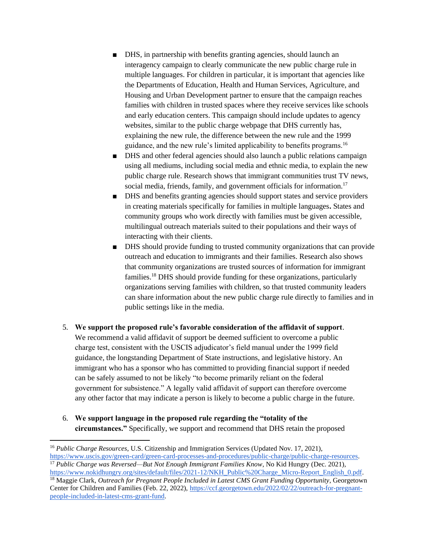- DHS, in partnership with benefits granting agencies, should launch an interagency campaign to clearly communicate the new public charge rule in multiple languages. For children in particular, it is important that agencies like the Departments of Education, Health and Human Services, Agriculture, and Housing and Urban Development partner to ensure that the campaign reaches families with children in trusted spaces where they receive services like schools and early education centers. This campaign should include updates to agency websites, similar to the public charge webpage that DHS currently has, explaining the new rule, the difference between the new rule and the 1999 guidance, and the new rule's limited applicability to benefits programs.<sup>16</sup>
- DHS and other federal agencies should also launch a public relations campaign using all mediums, including social media and ethnic media, to explain the new public charge rule. Research shows that immigrant communities trust TV news, social media, friends, family, and government officials for information.<sup>17</sup>
- DHS and benefits granting agencies should support states and service providers in creating materials specifically for families in multiple languages**.** States and community groups who work directly with families must be given accessible, multilingual outreach materials suited to their populations and their ways of interacting with their clients.
- DHS should provide funding to trusted community organizations that can provide outreach and education to immigrants and their families. Research also shows that community organizations are trusted sources of information for immigrant families.<sup>18</sup> DHS should provide funding for these organizations, particularly organizations serving families with children, so that trusted community leaders can share information about the new public charge rule directly to families and in public settings like in the media.
- 5. **We support the proposed rule's favorable consideration of the affidavit of support**. We recommend a valid affidavit of support be deemed sufficient to overcome a public charge test, consistent with the USCIS adjudicator's field manual under the 1999 field guidance, the longstanding Department of State instructions, and legislative history. An immigrant who has a sponsor who has committed to providing financial support if needed can be safely assumed to not be likely "to become primarily reliant on the federal government for subsistence." A legally valid affidavit of support can therefore overcome any other factor that may indicate a person is likely to become a public charge in the future.
- 6. **We support language in the proposed rule regarding the "totality of the circumstances."** Specifically, we support and recommend that DHS retain the proposed

[https://www.nokidhungry.org/sites/default/files/2021-12/NKH\\_Public%20Charge\\_Micro-Report\\_English\\_0.pdf.](https://www.nokidhungry.org/sites/default/files/2021-12/NKH_Public%20Charge_Micro-Report_English_0.pdf)

<sup>16</sup> *Public Charge Resources*, U.S. Citizenship and Immigration Services (Updated Nov. 17, 2021), [https://www.uscis.gov/green-card/green-card-processes-and-procedures/public-charge/public-charge-resources.](https://www.uscis.gov/green-card/green-card-processes-and-procedures/public-charge/public-charge-resources) <sup>17</sup> *Public Charge was Reversed—But Not Enough Immigrant Families Know*, No Kid Hungry (Dec. 2021),

<sup>18</sup> Maggie Clark, *Outreach for Pregnant People Included in Latest CMS Grant Funding Opportunity*, Georgetown Center for Children and Families (Feb. 22, 2022), [https://ccf.georgetown.edu/2022/02/22/outreach-for-pregnant](https://ccf.georgetown.edu/2022/02/22/outreach-for-pregnant-people-included-in-latest-cms-grant-fund)[people-included-in-latest-cms-grant-fund.](https://ccf.georgetown.edu/2022/02/22/outreach-for-pregnant-people-included-in-latest-cms-grant-fund)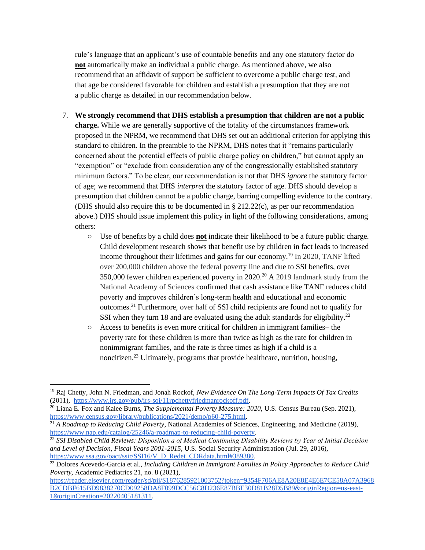rule's language that an applicant's use of countable benefits and any one statutory factor do **not** automatically make an individual a public charge. As mentioned above, we also recommend that an affidavit of support be sufficient to overcome a public charge test, and that age be considered favorable for children and establish a presumption that they are not a public charge as detailed in our recommendation below.

- 7. **We strongly recommend that DHS establish a presumption that children are not a public charge.** While we are generally supportive of the totality of the circumstances framework proposed in the NPRM, we recommend that DHS set out an additional criterion for applying this standard to children. In the preamble to the NPRM, DHS notes that it "remains particularly concerned about the potential effects of public charge policy on children," but cannot apply an "exemption" or "exclude from consideration any of the congressionally established statutory minimum factors." To be clear, our recommendation is not that DHS *ignore* the statutory factor of age; we recommend that DHS *interpret* the statutory factor of age. DHS should develop a presumption that children cannot be a public charge, barring compelling evidence to the contrary. (DHS should also require this to be documented in § 212.22(c), as per our recommendation above.) DHS should issue implement this policy in light of the following considerations, among others:
	- Use of benefits by a child does **not** indicate their likelihood to be a future public charge. Child development research shows that benefit use by children in fact leads to increased income throughout their lifetimes and gains for our economy.<sup>19</sup> In 2020, TANF lifted over 200,000 children above the federal poverty line and due to SSI benefits, over 350,000 fewer children experienced poverty in 2020.<sup>20</sup> A 2019 landmark study from the National Academy of Sciences confirmed that cash assistance like TANF reduces child poverty and improves children's long-term health and educational and economic outcomes.<sup>21</sup> Furthermore, over half of SSI child recipients are found not to qualify for SSI when they turn 18 and are evaluated using the adult standards for eligibility.<sup>22</sup>
	- Access to benefits is even more critical for children in immigrant families– the poverty rate for these children is more than twice as high as the rate for children in nonimmigrant families, and the rate is three times as high if a child is a noncitizen.<sup>23</sup> Ultimately, programs that provide healthcare, nutrition, housing,

<sup>19</sup> Raj Chetty, John N. Friedman, and Jonah Rockof, *New Evidence On The Long-Term Impacts Of Tax Credits* (2011), [https://www.irs.gov/pub/irs-soi/11rpchettyfriedmanrockoff.pdf.](https://www.irs.gov/pub/irs-soi/11rpchettyfriedmanrockoff.pdf)

<sup>20</sup> Liana E. Fox and Kalee Burns, *The Supplemental Poverty Measure: 2020,* U.S. Census Bureau (Sep. 2021), [https://www.census.gov/library/publications/2021/demo/p60-275.html.](https://www.census.gov/library/publications/2021/demo/p60-275.html)

<sup>21</sup> *A Roadmap to Reducing Child Poverty*, National Academies of Sciences, Engineering, and Medicine (2019), [https://www.nap.edu/catalog/25246/a-roadmap-to-reducing-child-poverty.](https://www.nap.edu/catalog/25246/a-roadmap-to-reducing-child-poverty)

<sup>&</sup>lt;sup>22</sup> *SSI Disabled Child Reviews: Disposition a of Medical Continuing Disability Reviews by Year of Initial Decision and Level of Decision, Fiscal Years 2001-2015*, U.S. Social Security Administration (Jul. 29, 2016), [https://www.ssa.gov/oact/ssir/SSI16/V\\_D\\_Redet\\_CDRdata.html#389380.](https://www.ssa.gov/oact/ssir/SSI16/V_D_Redet_CDRdata.html#389380)

<sup>23</sup> Dolores Acevedo-Garcia et al., *Including Children in Immigrant Families in Policy Approaches to Reduce Child Poverty,* Academic Pediatrics 21, no. 8 (2021),

[https://reader.elsevier.com/reader/sd/pii/S1876285921003752?token=9354F706AE8A20E8E4E6E7CE58A07A3968](https://reader.elsevier.com/reader/sd/pii/S1876285921003752?token=9354F706AE8A20E8E4E6E7CE58A07A3968B2CDBF615BD9838270CD09258DA8F099DCC56C8D236E87BBE30D81B28D5B89&originRegion=us-east-1&originCreation=20220405181311) [B2CDBF615BD9838270CD09258DA8F099DCC56C8D236E87BBE30D81B28D5B89&originRegion=us-east-](https://reader.elsevier.com/reader/sd/pii/S1876285921003752?token=9354F706AE8A20E8E4E6E7CE58A07A3968B2CDBF615BD9838270CD09258DA8F099DCC56C8D236E87BBE30D81B28D5B89&originRegion=us-east-1&originCreation=20220405181311)[1&originCreation=20220405181311.](https://reader.elsevier.com/reader/sd/pii/S1876285921003752?token=9354F706AE8A20E8E4E6E7CE58A07A3968B2CDBF615BD9838270CD09258DA8F099DCC56C8D236E87BBE30D81B28D5B89&originRegion=us-east-1&originCreation=20220405181311)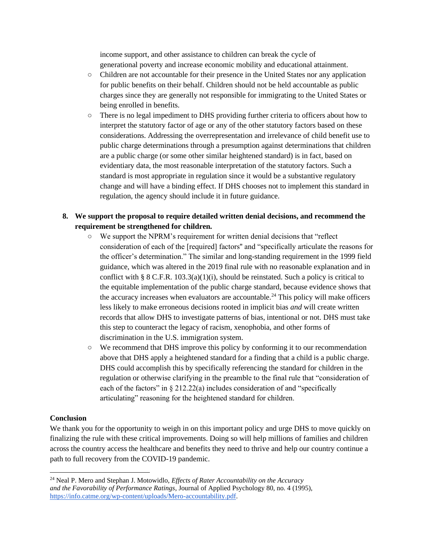income support, and other assistance to children can break the cycle of generational poverty and increase economic mobility and educational attainment.

- Children are not accountable for their presence in the United States nor any application for public benefits on their behalf. Children should not be held accountable as public charges since they are generally not responsible for immigrating to the United States or being enrolled in benefits.
- There is no legal impediment to DHS providing further criteria to officers about how to interpret the statutory factor of age or any of the other statutory factors based on these considerations. Addressing the overrepresentation and irrelevance of child benefit use to public charge determinations through a presumption against determinations that children are a public charge (or some other similar heightened standard) is in fact, based on evidentiary data, the most reasonable interpretation of the statutory factors. Such a standard is most appropriate in regulation since it would be a substantive regulatory change and will have a binding effect. If DHS chooses not to implement this standard in regulation, the agency should include it in future guidance.

## **8. We support the proposal to require detailed written denial decisions, and recommend the requirement be strengthened for children.**

- We support the NPRM's requirement for written denial decisions that "reflect consideration of each of the [required] factors'' and "specifically articulate the reasons for the officer's determination." The similar and long-standing requirement in the 1999 field guidance, which was altered in the 2019 final rule with no reasonable explanation and in conflict with § 8 C.F.R.  $103.3(a)(1)(i)$ , should be reinstated. Such a policy is critical to the equitable implementation of the public charge standard, because evidence shows that the accuracy increases when evaluators are accountable.<sup>24</sup> This policy will make officers less likely to make erroneous decisions rooted in implicit bias *and* will create written records that allow DHS to investigate patterns of bias, intentional or not. DHS must take this step to counteract the legacy of racism, xenophobia, and other forms of discrimination in the U.S. immigration system.
- We recommend that DHS improve this policy by conforming it to our recommendation above that DHS apply a heightened standard for a finding that a child is a public charge. DHS could accomplish this by specifically referencing the standard for children in the regulation or otherwise clarifying in the preamble to the final rule that "consideration of each of the factors" in  $\S 212.22(a)$  includes consideration of and "specifically articulating" reasoning for the heightened standard for children.

## **Conclusion**

We thank you for the opportunity to weigh in on this important policy and urge DHS to move quickly on finalizing the rule with these critical improvements. Doing so will help millions of families and children across the country access the healthcare and benefits they need to thrive and help our country continue a path to full recovery from the COVID-19 pandemic.

<sup>24</sup> Neal P. Mero and Stephan J. Motowidlo, *Effects of Rater Accountability on the Accuracy and the Favorability of Performance Ratings*, Journal of Applied Psychology 80, no. 4 (1995), [https://info.catme.org/wp-content/uploads/Mero-accountability.pdf.](https://info.catme.org/wp-content/uploads/Mero-accountability.pdf)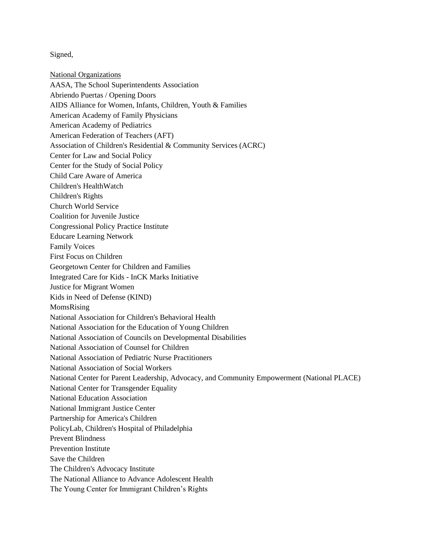Signed,

National Organizations AASA, The School Superintendents Association Abriendo Puertas / Opening Doors AIDS Alliance for Women, Infants, Children, Youth & Families American Academy of Family Physicians American Academy of Pediatrics American Federation of Teachers (AFT) Association of Children's Residential & Community Services (ACRC) Center for Law and Social Policy Center for the Study of Social Policy Child Care Aware of America Children's HealthWatch Children's Rights Church World Service Coalition for Juvenile Justice Congressional Policy Practice Institute Educare Learning Network Family Voices First Focus on Children Georgetown Center for Children and Families Integrated Care for Kids - InCK Marks Initiative Justice for Migrant Women Kids in Need of Defense (KIND) MomsRising National Association for Children's Behavioral Health National Association for the Education of Young Children National Association of Councils on Developmental Disabilities National Association of Counsel for Children National Association of Pediatric Nurse Practitioners National Association of Social Workers National Center for Parent Leadership, Advocacy, and Community Empowerment (National PLACE) National Center for Transgender Equality National Education Association National Immigrant Justice Center Partnership for America's Children PolicyLab, Children's Hospital of Philadelphia Prevent Blindness Prevention Institute Save the Children The Children's Advocacy Institute The National Alliance to Advance Adolescent Health The Young Center for Immigrant Children's Rights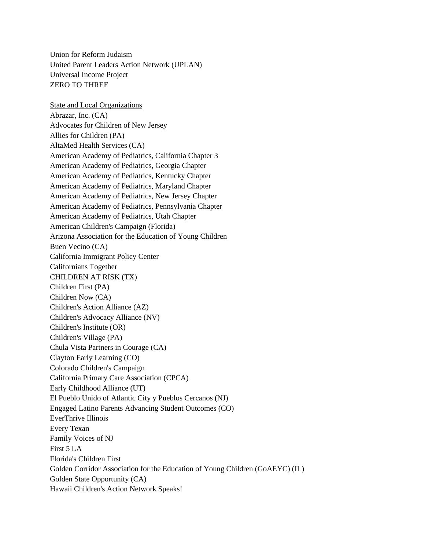Union for Reform Judaism United Parent Leaders Action Network (UPLAN) Universal Income Project ZERO TO THREE

State and Local Organizations Abrazar, Inc. (CA) Advocates for Children of New Jersey Allies for Children (PA) AltaMed Health Services (CA) American Academy of Pediatrics, California Chapter 3 American Academy of Pediatrics, Georgia Chapter American Academy of Pediatrics, Kentucky Chapter American Academy of Pediatrics, Maryland Chapter American Academy of Pediatrics, New Jersey Chapter American Academy of Pediatrics, Pennsylvania Chapter American Academy of Pediatrics, Utah Chapter American Children's Campaign (Florida) Arizona Association for the Education of Young Children Buen Vecino (CA) California Immigrant Policy Center Californians Together CHILDREN AT RISK (TX) Children First (PA) Children Now (CA) Children's Action Alliance (AZ) Children's Advocacy Alliance (NV) Children's Institute (OR) Children's Village (PA) Chula Vista Partners in Courage (CA) Clayton Early Learning (CO) Colorado Children's Campaign California Primary Care Association (CPCA) Early Childhood Alliance (UT) El Pueblo Unido of Atlantic City y Pueblos Cercanos (NJ) Engaged Latino Parents Advancing Student Outcomes (CO) EverThrive Illinois Every Texan Family Voices of NJ First 5 LA Florida's Children First Golden Corridor Association for the Education of Young Children (GoAEYC) (IL) Golden State Opportunity (CA) Hawaii Children's Action Network Speaks!